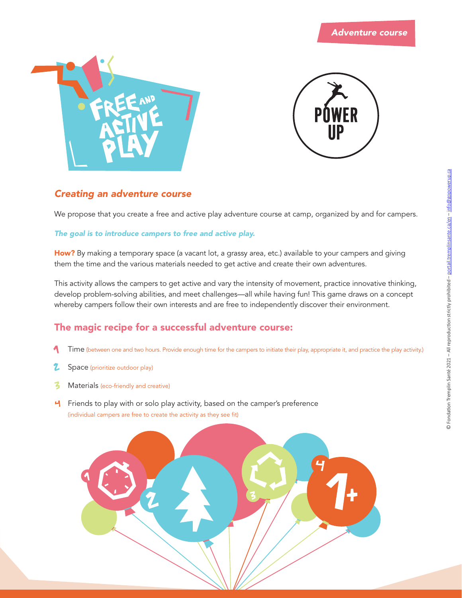



### *Creating an adventure course*

We propose that you create a free and active play adventure course at camp, organized by and for campers.

#### *The goal is to introduce campers to free and active play.*

**How?** By making a temporary space (a vacant lot, a grassy area, etc.) available to your campers and giving them the time and the various materials needed to get active and create their own adventures.

This activity allows the campers to get active and vary the intensity of movement, practice innovative thinking, develop problem-solving abilities, and meet challenges—all while having fun! This game draws on a concept whereby campers follow their own interests and are free to independently discover their environment.

### **The magic recipe for a successful adventure course:**

- Time (between one and two hours. Provide enough time for the campers to initiate their play, appropriate it, and practice the play activity.)
- Z Space (prioritize outdoor play)
- $\mathbf{z}$ Materials (eco-friendly and creative)
- **H** Friends to play with or solo play activity, based on the camper's preference (individual campers are free to create the activity as they see fit)

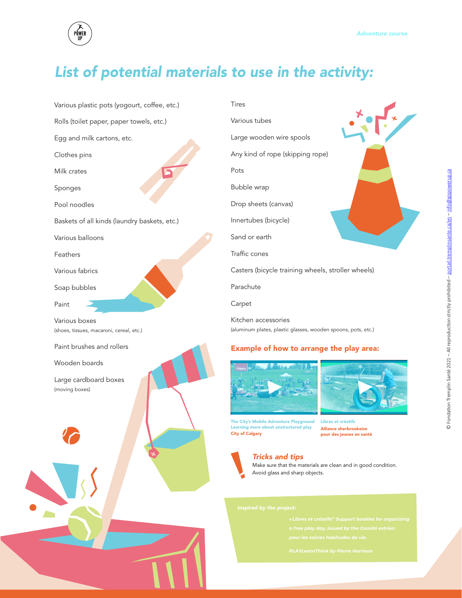

## *List of potential materials to use in the activity:*



Rolls (toilet paper, paper towels, etc.)

Egg and milk cartons, etc.

Clothes pins

Milk crates

Sponges

Pool noodles

Baskets of all kinds (laundry baskets, etc.)

Various balloons

Feathers

Various fabrics

Soap bubbles

Paint

Various boxes (shoes, tissues, macaroni, cereal, etc.)

Paint brushes and rollers

Wooden boards

Large cardboard boxes (moving boxes)

Tires Various tubes Large wooden wire spools Any kind of rope (skipping rope) Pots Bubble wrap Drop sheets (canvas) Innertubes (bicycle) Sand or earth Traffic cones Casters (bicycle training wheels, stroller wheels) Parachute Carpet Kitchen accessories (aluminum plates, plastic glasses, wooden spoons, pots, etc.)

#### **Example of how to arrange the play area:**





**The City's Mobile Adventure Playground Learning more about unstructured play City of Calgary**

**Libres et créatifs Alliance sherbrookoise pour des jeunes en santé**



*Tricks and tips*

Make sure that the materials are clean and in good condition. Avoid glass and sharp objects.

- 
- 
- *pour les saines habitudes de vie.*